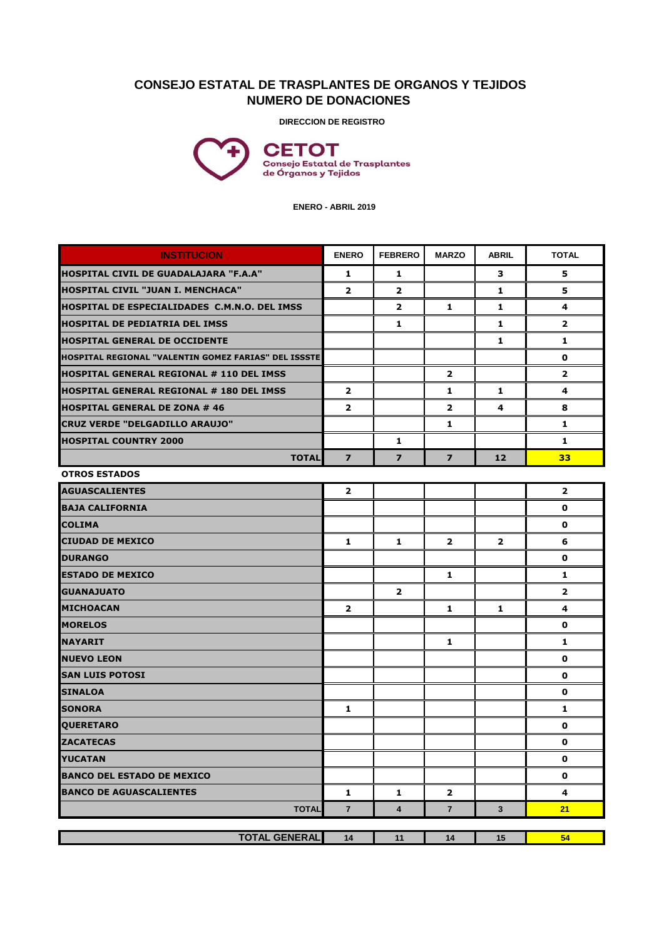## **CONSEJO ESTATAL DE TRASPLANTES DE ORGANOS Y TEJIDOS NUMERO DE DONACIONES**

**DIRECCION DE REGISTRO**



 **ENERO - ABRIL 2019**

| <b>INSTITUCION</b>                                   | <b>ENERO</b>   | <b>FEBRERO</b> | <b>MARZO</b>   | <b>ABRIL</b>   | <b>TOTAL</b>   |
|------------------------------------------------------|----------------|----------------|----------------|----------------|----------------|
| HOSPITAL CIVIL DE GUADALAJARA "F.A.A"                | 1              | 1              |                | з              | 5              |
| HOSPITAL CIVIL "JUAN I. MENCHACA"                    | $\mathbf{2}$   | $\mathbf{2}$   |                | 1              | 5              |
| <b>HOSPITAL DE ESPECIALIDADES C.M.N.O. DEL IMSS</b>  |                | $\mathbf{2}$   | 1              | 1              | 4              |
| <b>HOSPITAL DE PEDIATRIA DEL IMSS</b>                |                | 1              |                | 1              | $\mathbf{2}$   |
| <b>HOSPITAL GENERAL DE OCCIDENTE</b>                 |                |                |                | 1              | 1              |
| HOSPITAL REGIONAL "VALENTIN GOMEZ FARIAS" DEL ISSSTE |                |                |                |                | 0              |
| <b>HOSPITAL GENERAL REGIONAL # 110 DEL IMSS</b>      |                |                | $\overline{2}$ |                | $\mathbf{2}$   |
| HOSPITAL GENERAL REGIONAL # 180 DEL IMSS             | $\mathbf{2}$   |                | 1              | 1              | 4              |
| <b>HOSPITAL GENERAL DE ZONA # 46</b>                 | $\overline{2}$ |                | $\overline{2}$ | 4              | 8              |
| <b>CRUZ VERDE "DELGADILLO ARAUJO"</b>                |                |                | 1              |                | 1              |
| <b>HOSPITAL COUNTRY 2000</b>                         |                | 1              |                |                | 1              |
| <b>TOTAL</b>                                         | $\overline{ }$ | $\overline{ }$ | $\overline{ }$ | 12             | 33             |
| <b>OTROS ESTADOS</b>                                 |                |                |                |                |                |
| <b>AGUASCALIENTES</b>                                | $\mathbf{2}$   |                |                |                | $\mathbf{2}$   |
| <b>BAJA CALIFORNIA</b>                               |                |                |                |                | 0              |
| <b>COLIMA</b>                                        |                |                |                |                | 0              |
| <b>CIUDAD DE MEXICO</b>                              | 1              | 1              | $\overline{2}$ | $\overline{2}$ | 6              |
| <b>DURANGO</b>                                       |                |                |                |                | 0              |
| <b>ESTADO DE MEXICO</b>                              |                |                | 1              |                | 1              |
| <b>GUANAJUATO</b>                                    |                | $\overline{2}$ |                |                | $\overline{2}$ |
| <b>MICHOACAN</b>                                     | $\mathbf{2}$   |                | 1              | 1              | 4              |
| <b>MORELOS</b>                                       |                |                |                |                | 0              |
| <b>NAYARIT</b>                                       |                |                | 1              |                | 1              |
| <b>NUEVO LEON</b>                                    |                |                |                |                | 0              |
| <b>SAN LUIS POTOSI</b>                               |                |                |                |                | 0              |
| <b>SINALOA</b>                                       |                |                |                |                | 0              |
| <b>SONORA</b>                                        | 1              |                |                |                | 1              |
| <b>QUERETARO</b>                                     |                |                |                |                | 0              |
| <b>ZACATECAS</b>                                     |                |                |                |                | 0              |
| <b>YUCATAN</b>                                       |                |                |                |                | 0              |
| <b>BANCO DEL ESTADO DE MEXICO</b>                    |                |                |                |                | $\mathbf 0$    |
| <b>BANCO DE AGUASCALIENTES</b>                       | 1              | 1              | 2              |                | 4              |
| <b>TOTAL</b>                                         | $\overline{7}$ | 4              | $\overline{7}$ | 3              | 21             |
|                                                      |                |                |                |                |                |
| <b>TOTAL GENERAL</b>                                 | 14             | 11             | 14             | 15             | 54             |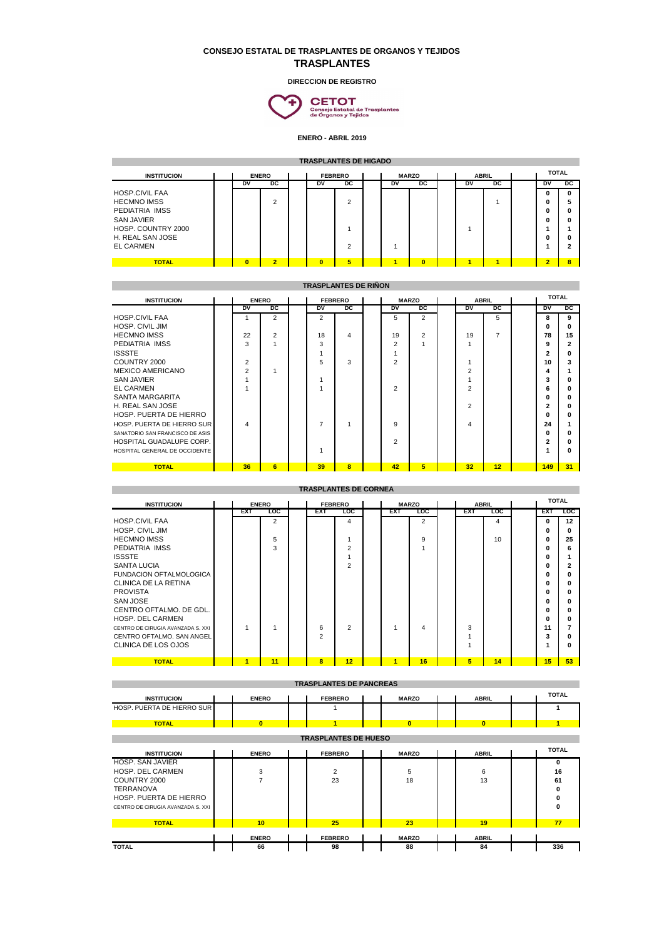## **CONSEJO ESTATAL DE TRASPLANTES DE ORGANOS Y TEJIDOS TRASPLANTES**

**DIRECCION DE REGISTRO**



**ENERO - ABRIL 2019**

| <b>TRASPLANTES DE HIGADO</b> |  |                |                |                |                |                |                              |    |                |  |           |    |              |           |              |
|------------------------------|--|----------------|----------------|----------------|----------------|----------------|------------------------------|----|----------------|--|-----------|----|--------------|-----------|--------------|
| <b>INSTITUCION</b>           |  | <b>ENERO</b>   |                | <b>FEBRERO</b> |                |                | <b>MARZO</b><br><b>ABRIL</b> |    |                |  |           |    | <b>TOTAL</b> |           |              |
|                              |  | DV             | DC             |                | DV             | pc             |                              | DV | pc             |  | <b>DV</b> | DC |              | <b>DV</b> | pc           |
| <b>HOSP.CIVIL FAA</b>        |  |                |                |                |                |                |                              |    |                |  |           |    |              | 0         | $\mathbf{0}$ |
| <b>HECMNO IMSS</b>           |  |                | 2              |                |                | $\overline{2}$ |                              |    |                |  |           |    |              | 0         | 5            |
| PEDIATRIA IMSS               |  |                |                |                |                |                |                              |    |                |  |           |    |              | 0         | $\mathbf{0}$ |
| <b>SAN JAVIER</b>            |  |                |                |                |                |                |                              |    |                |  |           |    |              | O         | $\mathbf{0}$ |
| HOSP. COUNTRY 2000           |  |                |                |                |                |                |                              |    |                |  |           |    |              |           |              |
| H. REAL SAN JOSE             |  |                |                |                |                |                |                              |    |                |  |           |    |              | O         | $\mathbf{0}$ |
| <b>EL CARMEN</b>             |  |                |                |                |                | $\overline{2}$ |                              |    |                |  |           |    |              |           | 2            |
|                              |  |                |                |                |                |                |                              |    |                |  |           |    |              |           |              |
| <b>TOTAL</b>                 |  | $\overline{0}$ | $\overline{2}$ |                | $\overline{0}$ | 5              |                              | ×  | $\overline{0}$ |  |           | ×  |              | $\bullet$ | 8            |

| <b>TRASPLANTES DE RIÑON</b>     |  |                         |                |                |                |    |              |                |                |              |                |                |           |                |
|---------------------------------|--|-------------------------|----------------|----------------|----------------|----|--------------|----------------|----------------|--------------|----------------|----------------|-----------|----------------|
| <b>INSTITUCION</b>              |  | <b>ENERO</b>            |                | <b>FEBRERO</b> |                |    | <b>MARZO</b> |                |                | <b>ABRIL</b> |                | <b>TOTAL</b>   |           |                |
|                                 |  | DV                      | pc             |                | D <sub>V</sub> | DC |              | D <sub>V</sub> | pc             |              | <b>DV</b>      | pc             | <b>DV</b> | $_{\text{DC}}$ |
| <b>HOSP.CIVIL FAA</b>           |  |                         | 2              |                | 2              |    |              | 5              | $\overline{2}$ |              |                | 5              | 8         | 9              |
| HOSP. CIVIL JIM                 |  |                         |                |                |                |    |              |                |                |              |                |                | O         |                |
| <b>HECMNO IMSS</b>              |  | 22                      | $\overline{2}$ |                | 18             | 4  |              | 19             | 2              |              | 19             | $\overline{7}$ | 78        | 15             |
| PEDIATRIA IMSS                  |  | 3                       |                |                | 3              |    |              | $\overline{2}$ |                |              |                |                | 9         |                |
| <b>ISSSTE</b>                   |  |                         |                |                | 4              |    |              |                |                |              |                |                | 2         |                |
| COUNTRY 2000                    |  | $\overline{2}$          |                |                | 5              | 3  |              | $\overline{2}$ |                |              |                |                | 10        | з              |
| <b>MEXICO AMERICANO</b>         |  | $\overline{2}$          |                |                |                |    |              |                |                |              | $\overline{2}$ |                | 4         |                |
| <b>SAN JAVIER</b>               |  |                         |                |                | 1              |    |              |                |                |              |                |                | 3         |                |
| <b>EL CARMEN</b>                |  |                         |                |                | 4              |    |              | $\overline{2}$ |                |              | $\mathcal{P}$  |                | 6         |                |
| SANTA MARGARITA                 |  |                         |                |                |                |    |              |                |                |              |                |                | O         |                |
| H. REAL SAN JOSE                |  |                         |                |                |                |    |              |                |                |              | $\overline{2}$ |                | 2         |                |
| HOSP. PUERTA DE HIERRO          |  |                         |                |                |                |    |              |                |                |              |                |                | O         |                |
| HOSP. PUERTA DE HIERRO SUR      |  | $\overline{\mathbf{A}}$ |                |                | $\overline{7}$ |    |              | 9              |                |              | 4              |                | 24        |                |
| SANATORIO SAN FRANCISCO DE ASIS |  |                         |                |                |                |    |              |                |                |              |                |                | $\Omega$  |                |
| HOSPITAL GUADALUPE CORP.        |  |                         |                |                |                |    |              | $\overline{2}$ |                |              |                |                | 2         |                |
| HOSPITAL GENERAL DE OCCIDENTE   |  |                         |                |                | 1              |    |              |                |                |              |                |                |           |                |
| <b>TOTAL</b>                    |  | 36                      | 6              |                | 39             | 8  |              | 42             | 5              |              | 32             | 12             | 149       | 31             |

| <b>TRASPLANTES DE CORNEA</b>      |  |              |            |  |                                |                                |  |                          |                |  |            |                |  |            |     |
|-----------------------------------|--|--------------|------------|--|--------------------------------|--------------------------------|--|--------------------------|----------------|--|------------|----------------|--|------------|-----|
| <b>INSTITUCION</b>                |  | <b>ENERO</b> |            |  | <b>FEBRERO</b><br><b>MARZO</b> |                                |  |                          | <b>ABRIL</b>   |  |            | <b>TOTAL</b>   |  |            |     |
|                                   |  | <b>EXT</b>   | <b>LOC</b> |  | <b>EXT</b>                     | <b>LOC</b>                     |  | <b>EXT</b><br><b>LOC</b> |                |  | <b>EXT</b> | <b>LOC</b>     |  | <b>EXT</b> | LOC |
| <b>HOSP.CIVIL FAA</b>             |  |              | 2          |  |                                | 4                              |  |                          | $\overline{2}$ |  |            | $\overline{4}$ |  | 0          | 12  |
| HOSP. CIVIL JIM                   |  |              |            |  |                                |                                |  |                          |                |  |            |                |  | O          | n   |
| <b>HECMNO IMSS</b>                |  |              | 5          |  |                                |                                |  |                          | 9              |  |            | 10             |  | 0          | 25  |
| PEDIATRIA IMSS                    |  |              | 3          |  |                                | $\overline{2}$                 |  |                          | 1              |  |            |                |  | 0          | 6   |
| <b>ISSSTE</b>                     |  |              |            |  |                                |                                |  |                          |                |  |            |                |  | 0          |     |
| <b>SANTA LUCIA</b>                |  |              |            |  |                                | $\overline{2}$                 |  |                          |                |  |            |                |  | 0          |     |
| <b>FUNDACION OFTALMOLOGICA</b>    |  |              |            |  |                                |                                |  |                          |                |  |            |                |  | 0          |     |
| CLINICA DE LA RETINA              |  |              |            |  |                                |                                |  |                          |                |  |            |                |  | 0          | n   |
| <b>PROVISTA</b>                   |  |              |            |  |                                |                                |  |                          |                |  |            |                |  | 0          |     |
| <b>SAN JOSE</b>                   |  |              |            |  |                                |                                |  |                          |                |  |            |                |  | 0          |     |
| CENTRO OFTALMO. DE GDL.           |  |              |            |  |                                |                                |  |                          |                |  |            |                |  | 0          |     |
| HOSP. DEL CARMEN                  |  |              |            |  |                                |                                |  |                          |                |  |            |                |  | 0          | n   |
| CENTRO DE CIRUGIA AVANZADA S. XXI |  |              |            |  | 6                              | $\overline{2}$                 |  |                          | 4              |  | 3          |                |  | 11         |     |
| CENTRO OFTALMO. SAN ANGEL         |  |              |            |  | $\overline{2}$                 |                                |  |                          |                |  |            |                |  | 3          |     |
| CLINICA DE LOS OJOS               |  |              |            |  |                                |                                |  |                          |                |  |            |                |  | 1          | n   |
|                                   |  |              |            |  |                                |                                |  |                          |                |  |            |                |  |            |     |
| <b>TOTAL</b>                      |  | 1            | 11         |  | 8                              | 12                             |  | и                        | 16             |  | 5          | 14             |  | 15         | 53  |
|                                   |  |              |            |  |                                |                                |  |                          |                |  |            |                |  |            |     |
|                                   |  |              |            |  |                                | <b>TRASPLANTES DE PANCREAS</b> |  |                          |                |  |            |                |  |            |     |
|                                   |  |              |            |  |                                |                                |  |                          |                |  |            |                |  |            |     |

| <b>INSTITUCION</b>                                                                                                                             | <b>ENERO</b>            | <b>FEBRERO</b> | <b>MARZO</b>   | <b>ABRIL</b>   | <b>TOTAL</b>                 |  |  |  |  |  |  |  |  |
|------------------------------------------------------------------------------------------------------------------------------------------------|-------------------------|----------------|----------------|----------------|------------------------------|--|--|--|--|--|--|--|--|
| HOSP. PUERTA DE HIERRO SUR                                                                                                                     |                         |                |                |                |                              |  |  |  |  |  |  |  |  |
| <b>TOTAL</b>                                                                                                                                   | $\overline{\mathbf{0}}$ | 1              | $\overline{0}$ | $\overline{0}$ |                              |  |  |  |  |  |  |  |  |
| <b>TRASPLANTES DE HUESO</b>                                                                                                                    |                         |                |                |                |                              |  |  |  |  |  |  |  |  |
| <b>INSTITUCION</b>                                                                                                                             | <b>ENERO</b>            | <b>FEBRERO</b> | <b>MARZO</b>   | <b>ABRIL</b>   | <b>TOTAL</b>                 |  |  |  |  |  |  |  |  |
| <b>HOSP. SAN JAVIER</b><br>HOSP. DEL CARMEN<br>COUNTRY 2000<br><b>TERRANOVA</b><br>HOSP. PUERTA DE HIERRO<br>CENTRO DE CIRUGIA AVANZADA S. XXI | 3<br>$\overline{7}$     | 2<br>23        | 5<br>18        | 6<br>13        | 0<br>16<br>61<br>0<br>0<br>0 |  |  |  |  |  |  |  |  |
| <b>TOTAL</b>                                                                                                                                   | 10                      | 25             | 23             | 19             | 77                           |  |  |  |  |  |  |  |  |
|                                                                                                                                                | <b>ENERO</b>            | <b>FEBRERO</b> | <b>MARZO</b>   | <b>ABRIL</b>   |                              |  |  |  |  |  |  |  |  |
| <b>TOTAL</b>                                                                                                                                   | 66                      | 98             | 88             | 84             | 336                          |  |  |  |  |  |  |  |  |